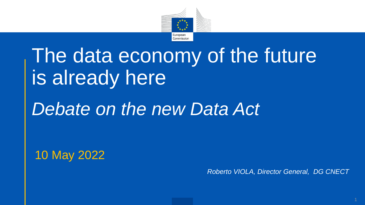

# The data economy of the future is already here

## *Debate on the new Data Act*

10 May 2022

*Roberto VIOLA, Director General, DG CNECT*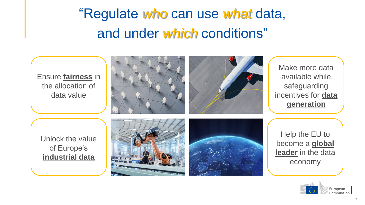"Regulate *who* can use *what* data, and under *which* conditions"



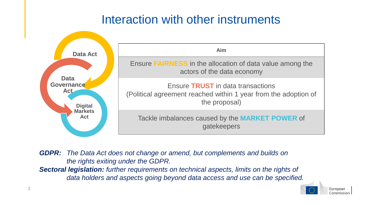#### Interaction with other instruments



*GDPR: The Data Act does not change or amend, but complements and builds on the rights exiting under the GDPR.*

*Sectoral legislation: further requirements on technical aspects, limits on the rights of data holders and aspects going beyond data access and use can be specified.*

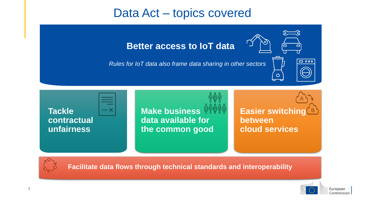#### Data Act – topics covered

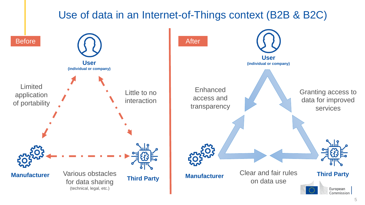#### Use of data in an Internet-of-Things context (B2B & B2C)